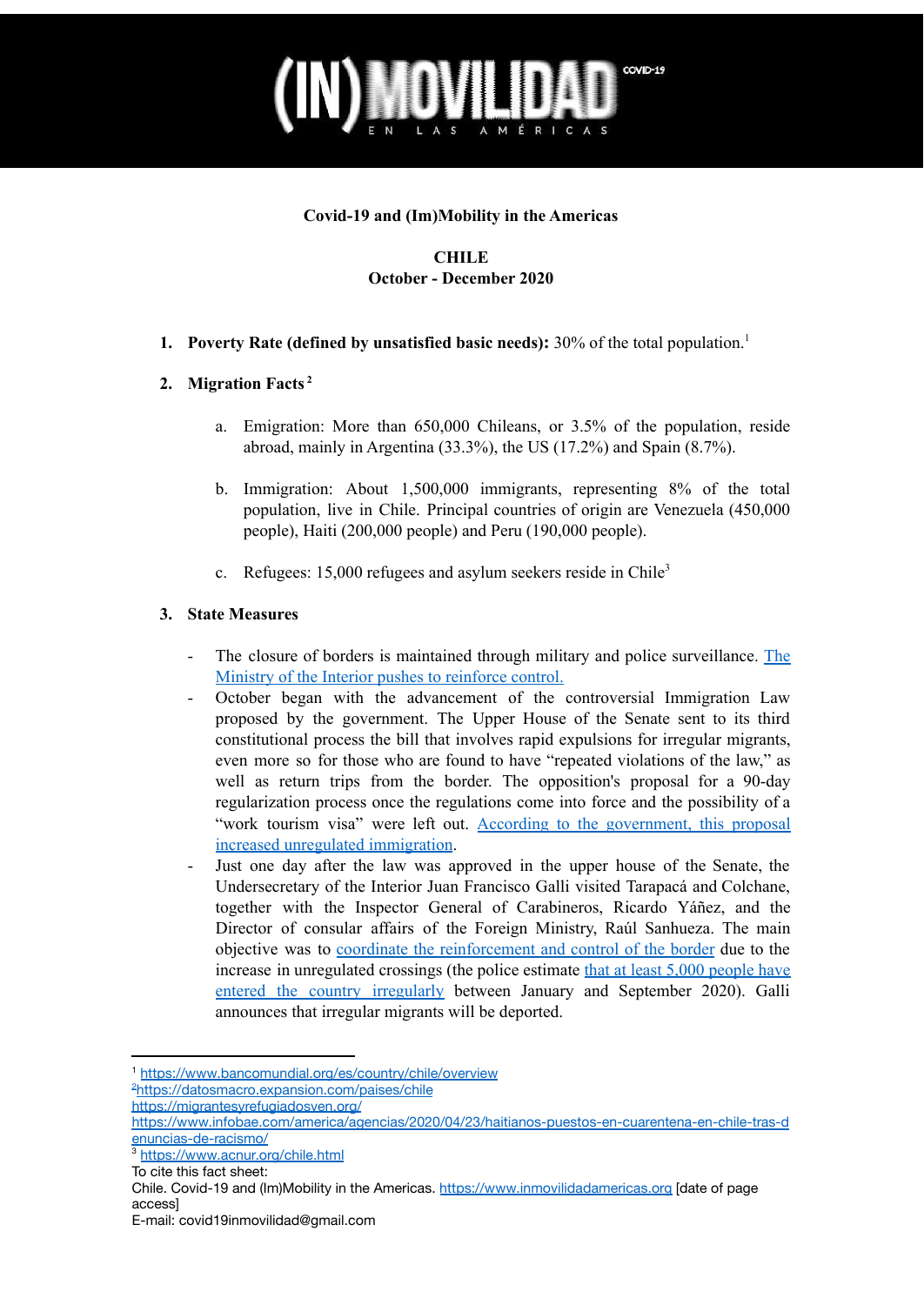

#### **Covid-19 and (Im)Mobility in the Americas**

### **CHILE October - December 2020**

**1. Poverty Rate (defined by unsatisfied basic needs):** 30% of the total population. 1

### **2. Migration Facts 2**

- a. Emigration: More than 650,000 Chileans, or 3.5% of the population, reside abroad, mainly in Argentina (33.3%), the US (17.2%) and Spain (8.7%).
- b. Immigration: About 1,500,000 immigrants, representing 8% of the total population, live in Chile. Principal countries of origin are Venezuela (450,000 people), Haiti (200,000 people) and Peru (190,000 people).
- c. Refugees:  $15,000$  refugees and asylum seekers reside in Chile<sup>3</sup>

#### **3. State Measures**

- The closure of borders is maintained through military and police surveillance. [The](https://www.radioagricultura.cl/nacional/2020/10/03/subsecretario-galli-analizo-el-fenomeno-de-los-ingresos-clandestinos-a-chile-en-colchane.html) Ministry of the Interior pushes to [reinforce](https://www.radioagricultura.cl/nacional/2020/10/03/subsecretario-galli-analizo-el-fenomeno-de-los-ingresos-clandestinos-a-chile-en-colchane.html) control.
- October began with the advancement of the controversial Immigration Law proposed by the government. The Upper House of the Senate sent to its third constitutional process the bill that involves rapid expulsions for irregular migrants, even more so for those who are found to have "repeated violations of the law," as well as return trips from the border. The opposition's proposal for a 90-day regularization process once the regulations come into force and the possibility of a "work tourism visa" were left out. According to the [government,](http://www.lanacion.cl/galli-e-ingresos-clandestinos-es-porque-estan-las-fronteras-cerradas-por-la-pandemia/) this proposal increased unregulated [immigration](http://www.lanacion.cl/galli-e-ingresos-clandestinos-es-porque-estan-las-fronteras-cerradas-por-la-pandemia/).
- Just one day after the law was approved in the upper house of the Senate, the Undersecretary of the Interior Juan Francisco Galli visited Tarapacá and Colchane, together with the Inspector General of Carabineros, Ricardo Yáñez, and the Director of consular affairs of the Foreign Ministry, Raúl Sanhueza. The main objective was to coordinate the [reinforcement](https://www.cooperativa.cl/noticias/pais/poblacion/inmigrantes/migracion-galli-visita-el-norte-del-pais-prometiendo-reforzar/2020-10-01/173123.html) and control of the border due to the increase in unregulated crossings (the police estimate that at least 5,000 [people](https://www.biobiochile.cl/noticias/nacional/chile/2020/10/06/gobierno-cifra-en-mas-de-5-mil-las-denuncias-por-ingresos-ilegales-en-pasos-no-habilitados-este-ano.shtml) have entered the country [irregularly](https://www.biobiochile.cl/noticias/nacional/chile/2020/10/06/gobierno-cifra-en-mas-de-5-mil-las-denuncias-por-ingresos-ilegales-en-pasos-no-habilitados-este-ano.shtml) between January and September 2020). Galli announces that irregular migrants will be deported.

<sup>1</sup> <https://www.bancomundial.org/es/country/chile/overview>

<sup>&</sup>lt;sup>2</sup><https://datosmacro.expansion.com/paises/chile>

<https://migrantesyrefugiadosven.org/>

[https://www.infobae.com/america/agencias/2020/04/23/haitianos-puestos-en-cuarentena-en-chile-tras-d](https://www.infobae.com/america/agencias/2020/04/23/haitianos-puestos-en-cuarentena-en-chile-tras-denuncias-de-racismo/) [enuncias-de-racismo/](https://www.infobae.com/america/agencias/2020/04/23/haitianos-puestos-en-cuarentena-en-chile-tras-denuncias-de-racismo/)

<sup>3</sup> <https://www.acnur.org/chile.html>

To cite this fact sheet:

Chile. Covid-19 and (Im)Mobility in the Americas. <https://www.inmovilidadamericas.org> [date of page access]

E-mail: covid19inmovilidad@gmail.com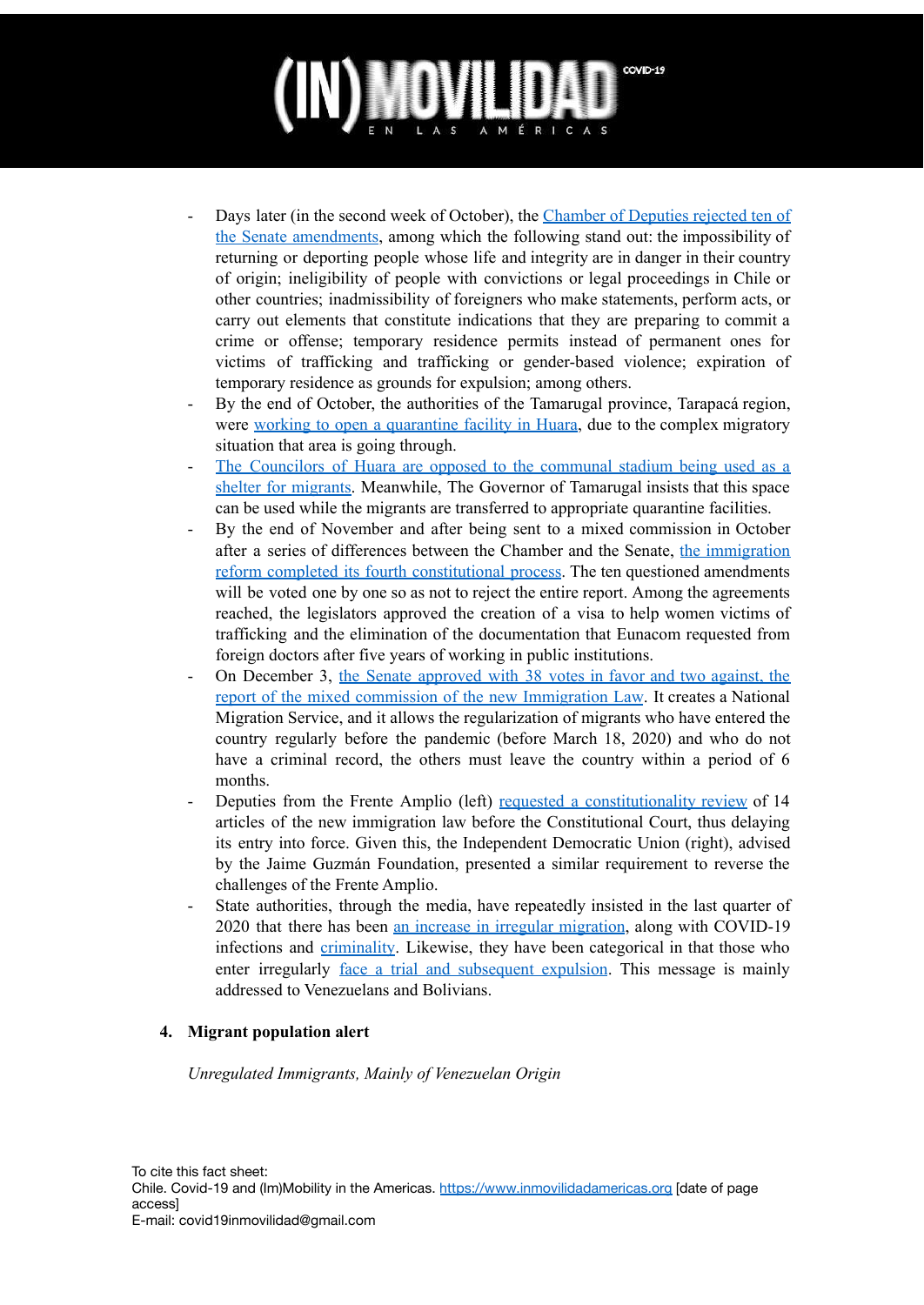- Days later (in the second week of October), the [Chamber](https://www.elmostrador.cl/noticias/pais/2020/10/08/ley-de-migraciones-camara-rechaza-10-de-los-cambios-del-senado-y-envia-el-proyecto-a-comision-mixta/) of Deputies rejected ten of the Senate [amendments](https://www.elmostrador.cl/noticias/pais/2020/10/08/ley-de-migraciones-camara-rechaza-10-de-los-cambios-del-senado-y-envia-el-proyecto-a-comision-mixta/), among which the following stand out: the impossibility of returning or deporting people whose life and integrity are in danger in their country of origin; ineligibility of people with convictions or legal proceedings in Chile or other countries; inadmissibility of foreigners who make statements, perform acts, or carry out elements that constitute indications that they are preparing to commit a crime or offense; temporary residence permits instead of permanent ones for victims of trafficking and trafficking or gender-based violence; expiration of temporary residence as grounds for expulsion; among others.
- By the end of October, the authorities of the Tamarugal province, Tarapacá region, were working to open a [quarantine](https://www.biobiochile.cl/noticias/nacional/region-de-tarapaca/2020/10/31/dura-situacion-migratoria-en-norte-de-chile-autoridades-trabajan-para-abrir-residencia-sanitaria.shtml?fbclid=IwAR3WDIE3R6QuIB236uUueqHONRwG0li7ynYmd--zj35R_Wty_SrDcaPZ2vU) facility in Huara, due to the complex migratory situation that area is going through.
- The [Councilors](https://edicioncero.cl/2020/11/concejales-de-huara-se-oponen-a-que-estadio-comunal-sea-usado-como-albergue-destinado-a-migrantes/) of Huara are opposed to the communal stadium being used as a shelter for [migrants.](https://edicioncero.cl/2020/11/concejales-de-huara-se-oponen-a-que-estadio-comunal-sea-usado-como-albergue-destinado-a-migrantes/) Meanwhile, The Governor of Tamarugal insists that this space can be used while the migrants are transferred to appropriate quarantine facilities.
- By the end of November and after being sent to a mixed commission in October after a series of differences between the Chamber and the Senate, the [immigration](https://www.biobiochile.cl/noticias/nacional/chile/2020/11/30/reforma-migratoria-sale-de-comision-mixta-con-apoyo-parcial-a-regularizar-migrantes-indocumentados.shtml) reform completed its fourth [constitutional](https://www.biobiochile.cl/noticias/nacional/chile/2020/11/30/reforma-migratoria-sale-de-comision-mixta-con-apoyo-parcial-a-regularizar-migrantes-indocumentados.shtml) process. The ten questioned amendments will be voted one by one so as not to reject the entire report. Among the agreements reached, the legislators approved the creation of a visa to help women victims of trafficking and the elimination of the documentation that Eunacom requested from foreign doctors after five years of working in public institutions.
- On December 3, the Senate [approved](https://www.cooperativa.cl/noticias/pais/poblacion/inmigrantes/tras-compleja-y-larga-tramitacion-congreso-despacho-ley-de-migraciones/2020-12-03/174758.html) with 38 votes in favor and two against, the report of the mixed commission of the new [Immigration](https://www.cooperativa.cl/noticias/pais/poblacion/inmigrantes/tras-compleja-y-larga-tramitacion-congreso-despacho-ley-de-migraciones/2020-12-03/174758.html) Law. It creates a National Migration Service, and it allows the regularization of migrants who have entered the country regularly before the pandemic (before March 18, 2020) and who do not have a criminal record, the others must leave the country within a period of 6 months.
- Deputies from the Frente Amplio (left) requested a [constitutionality](https://radio.uchile.cl/2020/12/28/udi-contraataca-en-el-tc-diputados-buscan-revertir-impugnaciones-a-ley-de-migraciones/) review of 14 articles of the new immigration law before the Constitutional Court, thus delaying its entry into force. Given this, the Independent Democratic Union (right), advised by the Jaime Guzmán Foundation, presented a similar requirement to reverse the challenges of the Frente Amplio.
- State authorities, through the media, have repeatedly insisted in the last quarter of 2020 that there has been an increase in irregular migration, along with COVID-19 infections and [criminality.](https://www.t13.cl/noticia/nacional/pdi-narcotrafico-inmigracion-droga-23-12-2020) Likewise, they have been categorical in that those who enter irregularly <u>face a trial and [subsequent](https://www.meganoticias.cl/nacional/318338-expulsion-extranjertos-migracion-ilegal-chile-gobierno-emx01.html?fbclid=IwAR02EzmhwQL83Njx5n5pGWrAfrnZc2KvvuuSjOFUMLJgLwwBayciskwGj6U) expulsion</u>. This message is mainly addressed to Venezuelans and Bolivians.

### **4. Migrant population alert**

*Unregulated Immigrants, Mainly of Venezuelan Origin*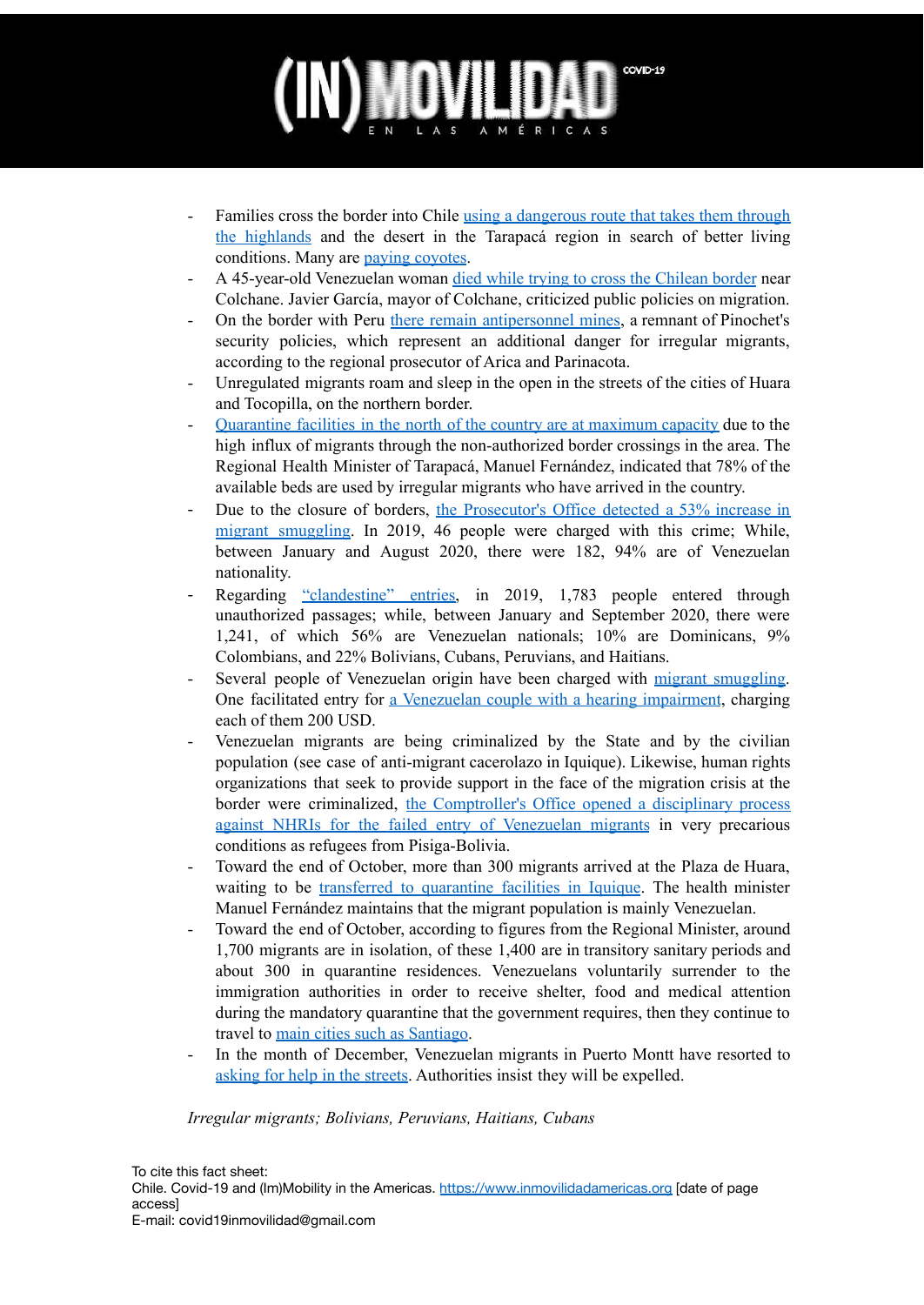- Families cross the border into Chile using a [dangerous](https://www.t13.cl/videos/reportajes-t13/nacional/video-reportajes-t13-ruta-del-desierto-05-10-2020) route that takes them through the [highlands](https://www.t13.cl/videos/reportajes-t13/nacional/video-reportajes-t13-ruta-del-desierto-05-10-2020) and the desert in the Tarapacá region in search of better living conditions. Many are paying [coyotes](https://timeline.cl/2020/12/alcalde-de-tocopilla-y-sjm-advierten-que-coyotes-cobran-a-venezolanos-para-ingresarlos-a-chile/?fbclid=IwAR02EzmhwQL83Njx5n5pGWrAfrnZc2KvvuuSjOFUMLJgLwwBayciskwGj6U).
- A 45-year-old Venezuelan woman died while trying to cross the [Chilean](https://www.24horas.cl/regiones/tarapaca/migrante-venezolana-muere-tras-intentar-cruzar-frontera-chilena-en-colchane-4515252) border near Colchane. Javier García, mayor of Colchane, criticized public policies on migration.
- On the border with Peru there remain [antipersonnel](https://www.latercera.com/la-tercera-pm/noticia/trafico-de-migrantes-sube-53-y-91-de-extranjeros-que-usa-este-servicio-tiene-educacion-media-y-superior-completa/ODMSFEIDNRCYDAYUFDI7UE3H2U/) mines, a remnant of Pinochet's security policies, which represent an additional danger for irregular migrants, according to the regional prosecutor of Arica and Parinacota.
- Unregulated migrants roam and sleep in the open in the streets of the cities of Huara and Tocopilla, on the northern border.
- [Quarantine](https://docs.google.com/spreadsheets/d/1fWgz3m2OzoC9DQUZ0mhBkpFlVhVYzL3IN1dzKtj_lyU/edit#gid=1117415) facilities in the north of the country are at maximum capacity due to the high influx of migrants through the non-authorized border crossings in the area. The Regional Health Minister of Tarapacá, Manuel Fernández, indicated that 78% of the available beds are used by irregular migrants who have arrived in the country.
- Due to the closure of borders, the [Prosecutor's](https://www.latercera.com/la-tercera-pm/noticia/trafico-de-migrantes-sube-53-y-91-de-extranjeros-que-usa-este-servicio-tiene-educacion-media-y-superior-completa/ODMSFEIDNRCYDAYUFDI7UE3H2U/) Office detected a 53% increase in migrant [smuggling](https://www.latercera.com/la-tercera-pm/noticia/trafico-de-migrantes-sube-53-y-91-de-extranjeros-que-usa-este-servicio-tiene-educacion-media-y-superior-completa/ODMSFEIDNRCYDAYUFDI7UE3H2U/). In 2019, 46 people were charged with this crime; While, between January and August 2020, there were 182, 94% are of Venezuelan nationality.
- Regarding ["clandestine"](https://www.elmostrador.cl/dia/2020/10/02/jefes-de-defensa-del-norte-del-pais-alertan-de-dificultades-en-el-control-por-ingreso-de-migrantes/) entries, in 2019, 1,783 people entered through unauthorized passages; while, between January and September 2020, there were 1,241, of which 56% are Venezuelan nationals; 10% are Dominicans, 9% Colombians, and 22% Bolivians, Cubans, Peruvians, and Haitians.
- Several people of Venezuelan origin have been charged with migrant [smuggling.](https://www.publimetro.cl/cl/noticias/2020/10/04/tres-imputados-trafico-migrantes-prision-preventiva.html) One facilitated entry for a [Venezuelan](https://www.eldesconcierto.cl/nacional/2020/11/28/formalizan-a-imputado-por-trafico-de-migrantes-con-discapacidad-auditiva.html) couple with a hearing impairment, charging each of them 200 USD.
- Venezuelan migrants are being criminalized by the State and by the civilian population (see case of anti-migrant cacerolazo in Iquique). Likewise, human rights organizations that seek to provide support in the face of the migration crisis at the border were criminalized, the [Comptroller's](https://www.biobiochile.cl/noticias/nacional/chile/2020/10/14/contraloria-abre-proceso-disciplinario-contra-indh-por-fallido-ingreso-de-migrantes-como-refugiados.shtml) Office opened a disciplinary process against NHRIs for the failed entry of [Venezuelan](https://www.biobiochile.cl/noticias/nacional/chile/2020/10/14/contraloria-abre-proceso-disciplinario-contra-indh-por-fallido-ingreso-de-migrantes-como-refugiados.shtml) migrants in very precarious conditions as refugees from Pisiga-Bolivia.
- Toward the end of October, more than 300 migrants arrived at the Plaza de Huara, waiting to be [transferred](https://www.youtube.com/watch?v=FkRedRt-DIE) to quarantine facilities in Iquique. The health minister Manuel Fernández maintains that the migrant population is mainly Venezuelan.
- Toward the end of October, according to figures from the Regional Minister, around 1,700 migrants are in isolation, of these 1,400 are in transitory sanitary periods and about 300 in quarantine residences. Venezuelans voluntarily surrender to the immigration authorities in order to receive shelter, food and medical attention during the mandatory quarantine that the government requires, then they continue to travel to main cities such as [Santiago](https://www.meganoticias.cl/nacional/318196-migracion-ilegal-venezolanos-iquique-santiago-emx01.html?fbclid=IwAR2qbUXCW1FRLiqqJdlu9NLE0DstY5Asae4o_fZEJPL4NkVR8qcvAbsExHE).
- In the month of December, Venezuelan migrants in Puerto Montt have resorted to [asking](https://www.biobiochile.cl/noticias/nacional/region-de-los-lagos/2020/12/16/en-la-calle-sin-papeles-y-a-pasos-de-la-expulsion-la-realidad-de-muchos-migrantes-en-puerto-montt.shtml?fbclid=IwAR2qbUXCW1FRLiqqJdlu9NLE0DstY5Asae4o_fZEJPL4NkVR8qcvAbsExHE) for help in the streets. Authorities insist they will be expelled.

### *Irregular migrants; Bolivians, Peruvians, Haitians, Cubans*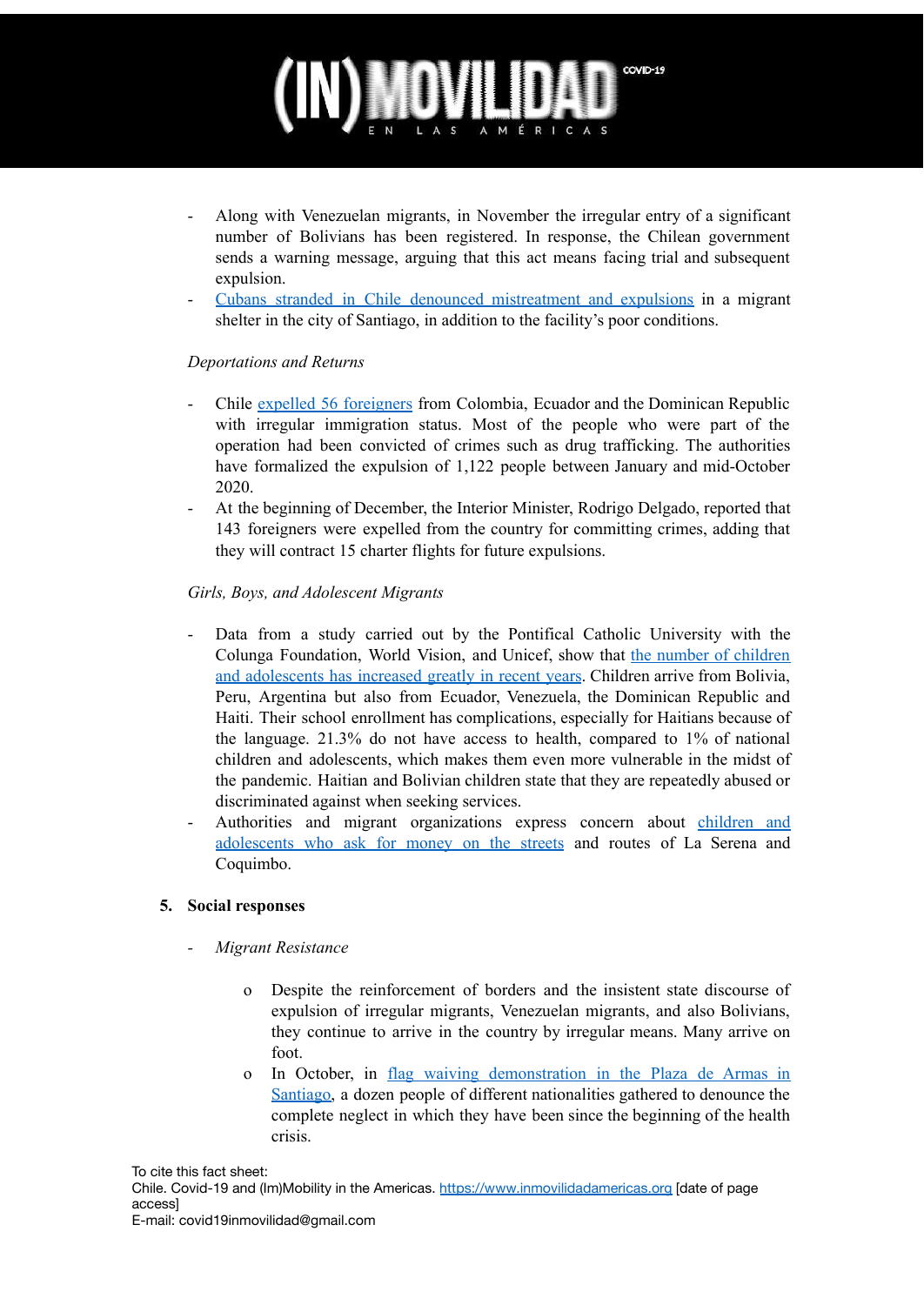- Along with Venezuelan migrants, in November the irregular entry of a significant number of Bolivians has been registered. In response, the Chilean government sends a warning message, arguing that this act means facing trial and subsequent expulsion.
- Cubans stranded in Chile denounced [mistreatment](https://www.cibercuba.com/noticias/2020-10-25-u207959-e207959-s27061-cubanos-varados-chile-hablan-maltratos-expulsiones) and expulsions in a migrant shelter in the city of Santiago, in addition to the facility's poor conditions.

#### *Deportations and Returns*

- Chile expelled 56 [foreigners](https://www.t13.cl/noticia/nacional/gobierno-expulsa-56-personas-condicion-migratoria-irregular-14-10-2020) from Colombia, Ecuador and the Dominican Republic with irregular immigration status. Most of the people who were part of the operation had been convicted of crimes such as drug trafficking. The authorities have formalized the expulsion of 1,122 people between January and mid-October 2020.
- At the beginning of December, the Interior Minister, Rodrigo Delgado, reported that 143 foreigners were expelled from the country for committing crimes, adding that they will contract 15 charter flights for future expulsions.

### *Girls, Boys, and Adolescent Migrants*

- Data from a study carried out by the Pontifical Catholic University with the Colunga Foundation, World Vision, and Unicef, show that the number of children and adolescents has increased greatly in recent years. Children arrive from Bolivia, Peru, Argentina but also from Ecuador, Venezuela, the Dominican Republic and Haiti. Their school enrollment has complications, especially for Haitians because of the language. 21.3% do not have access to health, compared to 1% of national children and adolescents, which makes them even more vulnerable in the midst of the pandemic. Haitian and Bolivian children state that they are repeatedly abused or discriminated against when seeking services.
- Authorities and migrant organizations express concern about [children](http://www.diarioeldia.cl/region/preocupa-vulneracion-menores-migrantes-en-conurbacion) and [adolescents](http://www.diarioeldia.cl/region/preocupa-vulneracion-menores-migrantes-en-conurbacion) who ask for money on the streets and routes of La Serena and Coquimbo.

### **5. Social responses**

- *- Migrant Resistance*
	- o Despite the reinforcement of borders and the insistent state discourse of expulsion of irregular migrants, Venezuelan migrants, and also Bolivians, they continue to arrive in the country by irregular means. Many arrive on foot.
	- o In October, in flag waiving [demonstration](https://www.biobiochile.cl/noticias/nacional/chile/2020/10/12/extranjeros-en-chile-acusan-abandono-durante-crisis-y-piden-ayuda-para-que-500-mil-se-regularicen.shtml) in the Plaza de Armas in [Santiago,](https://www.biobiochile.cl/noticias/nacional/chile/2020/10/12/extranjeros-en-chile-acusan-abandono-durante-crisis-y-piden-ayuda-para-que-500-mil-se-regularicen.shtml) a dozen people of different nationalities gathered to denounce the complete neglect in which they have been since the beginning of the health crisis.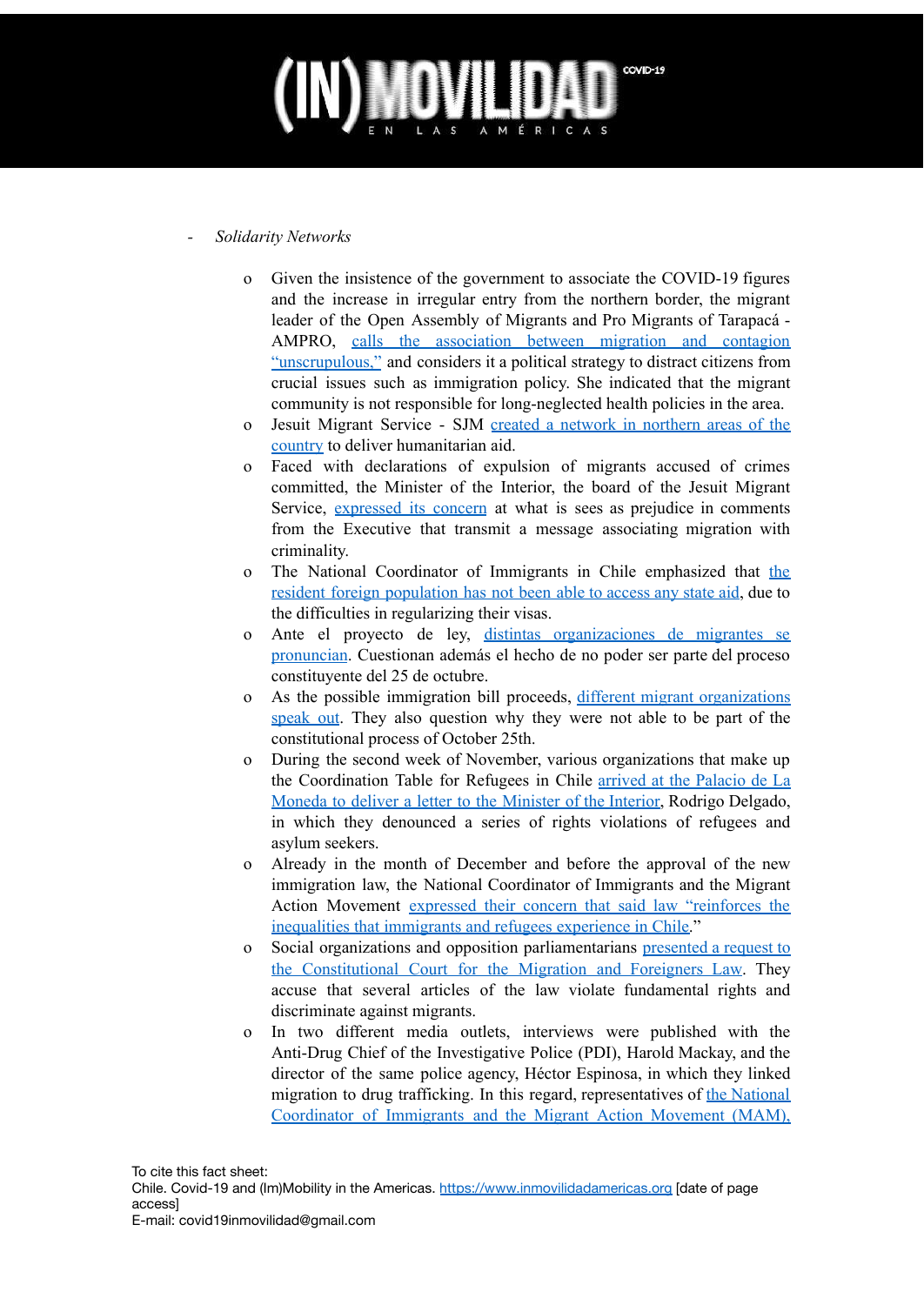#### *- Solidarity Networks*

- o Given the insistence of the government to associate the COVID-19 figures and the increase in irregular entry from the northern border, the migrant leader of the Open Assembly of Migrants and Pro Migrants of Tarapacá - AMPRO, calls the [association](https://radio.uchile.cl/2020/10/02/dirigenta-migrante-en-iquique-tenemos-un-solo-hospital-regional-no-es-nuestra-culpa/?fbclid=IwAR0V_EpI7iCYFj7k-Tcnl2LdFgrjxKLIpSnJC4mE3_CiNXOg7dlADJU4CbM) between migration and contagion ["unscrupulous,"](https://radio.uchile.cl/2020/10/02/dirigenta-migrante-en-iquique-tenemos-un-solo-hospital-regional-no-es-nuestra-culpa/?fbclid=IwAR0V_EpI7iCYFj7k-Tcnl2LdFgrjxKLIpSnJC4mE3_CiNXOg7dlADJU4CbM) and considers it a political strategy to distract citizens from crucial issues such as immigration policy. She indicated that the migrant community is not responsible for long-neglected health policies in the area.
- o Jesuit Migrant Service SJM created a network in [northern](https://timeline.cl/2020/12/alcalde-de-tocopilla-y-sjm-advierten-que-coyotes-cobran-a-venezolanos-para-ingresarlos-a-chile/?fbclid=IwAR02EzmhwQL83Njx5n5pGWrAfrnZc2KvvuuSjOFUMLJgLwwBayciskwGj6U) areas of the [country](https://timeline.cl/2020/12/alcalde-de-tocopilla-y-sjm-advierten-que-coyotes-cobran-a-venezolanos-para-ingresarlos-a-chile/?fbclid=IwAR02EzmhwQL83Njx5n5pGWrAfrnZc2KvvuuSjOFUMLJgLwwBayciskwGj6U) to deliver humanitarian aid.
- o Faced with declarations of expulsion of migrants accused of crimes committed, the Minister of the Interior, the board of the Jesuit Migrant Service, [expressed](https://www.elmostrador.cl/noticias/pais/2020/12/04/el-reality-show-del-gobierno-servicio-jesuita-a-migrantes-y-chile-21-critican-el-mediatico-punto-de-prensa-de-interior-para-expulsar-extranjeros/?fbclid=IwAR1E1dvMnRVA-jJjLyQXhA26RCfkCX281nDtraVEcS85tNR8rCiueVCCr2s) its concern at what is sees as prejudice in comments from the Executive that transmit a message associating migration with criminality.
- o The National Coordinator of Immigrants in Chile emphasized that the resident foreign population has not been able to access any state aid, due to the difficulties in regularizing their visas.
- o Ante el proyecto de ley, distintas [organizaciones](https://www.elmostrador.cl/noticias/pais/2020/10/18/inmigrantes-en-chile-piden-igualdad-de-derechos-para-votar-en-el-plebiscito/) de migrantes se [pronuncian](https://www.elmostrador.cl/noticias/pais/2020/10/18/inmigrantes-en-chile-piden-igualdad-de-derechos-para-votar-en-el-plebiscito/). Cuestionan además el hecho de no poder ser parte del proceso constituyente del 25 de octubre.
- o As the possible immigration bill proceeds, different migrant [organizations](https://www.elmostrador.cl/noticias/pais/2020/10/18/inmigrantes-en-chile-piden-igualdad-de-derechos-para-votar-en-el-plebiscito/) [speak](https://www.elmostrador.cl/noticias/pais/2020/10/18/inmigrantes-en-chile-piden-igualdad-de-derechos-para-votar-en-el-plebiscito/) out. They also question why they were not able to be part of the constitutional process of October 25th.
- o During the second week of November, various organizations that make up the Coordination Table for Refugees in Chile arrived at the [Palacio](https://radio.uchile.cl/2020/11/09/carta-para-delgado-refugiados-en-chile-denuncian-vulneraciones-a-sus-derechos-por-parte-de-extranjeria-y-piden-investigacion/) de La Moneda to deliver a letter to the [Minister](https://radio.uchile.cl/2020/11/09/carta-para-delgado-refugiados-en-chile-denuncian-vulneraciones-a-sus-derechos-por-parte-de-extranjeria-y-piden-investigacion/) of the Interior, Rodrigo Delgado, in which they denounced a series of rights violations of refugees and asylum seekers.
- o Already in the month of December and before the approval of the new immigration law, the National Coordinator of Immigrants and the Migrant Action Movement expressed their concern that said law ["reinforces](https://radio.uchile.cl/2020/12/04/es-una-ley-nefasta-organizaciones-y-comunidades-migrantes-rechazan-aprobacion-de-ley-de-migraciones/) the [inequalities](https://radio.uchile.cl/2020/12/04/es-una-ley-nefasta-organizaciones-y-comunidades-migrantes-rechazan-aprobacion-de-ley-de-migraciones/) that immigrants and refugees experience in Chile."
- o Social organizations and opposition parliamentarians [presented](https://radio.uchile.cl/2020/12/15/ley-de-migraciones-organizaciones-y-parlamentarios-acuden-al-tc-por-vulneraciones-de-derechos/) a request to the [Constitutional](https://radio.uchile.cl/2020/12/15/ley-de-migraciones-organizaciones-y-parlamentarios-acuden-al-tc-por-vulneraciones-de-derechos/) Court for the Migration and Foreigners Law. They accuse that several articles of the law violate fundamental rights and discriminate against migrants.
- o In two different media outlets, interviews were published with the Anti-Drug Chief of the Investigative Police (PDI), Harold Mackay, and the director of the same police agency, Héctor Espinosa, in which they linked migration to drug trafficking. In this regard, representatives of the [National](https://www.eldesconcierto.cl/nacional/2020/12/24/manifestaciones-xenofobicas-migrantes-repudian-declaraciones-de-la-pdi-que-les-vinculan-al-narcotrafico.html) [Coordinator](https://www.eldesconcierto.cl/nacional/2020/12/24/manifestaciones-xenofobicas-migrantes-repudian-declaraciones-de-la-pdi-que-les-vinculan-al-narcotrafico.html) of Immigrants and the Migrant Action Movement (MAM),